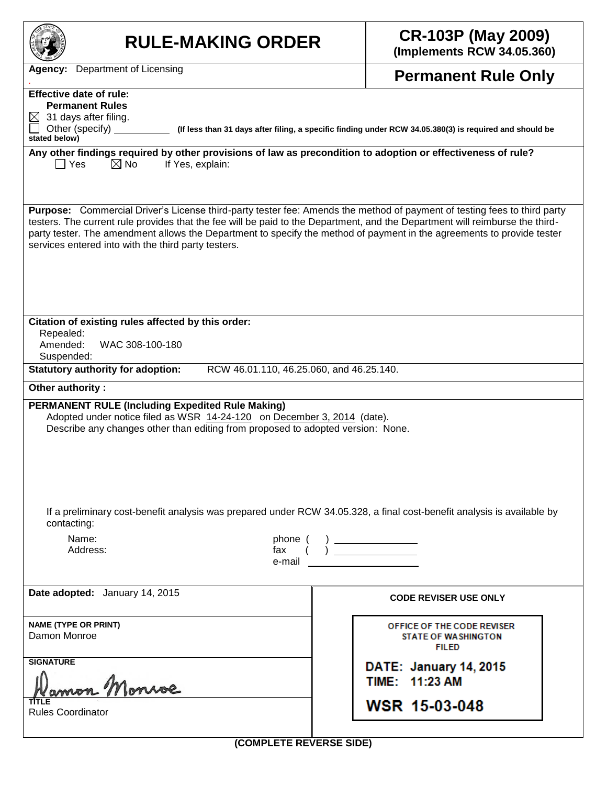| <b>RULE-MAKING ORDER</b>                                                                                                                                                                                                                                                                                                                                                                                                                  | <b>CR-103P (May 2009)</b><br>(Implements RCW 34.05.360)                  |  |  |  |  |  |  |
|-------------------------------------------------------------------------------------------------------------------------------------------------------------------------------------------------------------------------------------------------------------------------------------------------------------------------------------------------------------------------------------------------------------------------------------------|--------------------------------------------------------------------------|--|--|--|--|--|--|
| <b>Agency:</b> Department of Licensing                                                                                                                                                                                                                                                                                                                                                                                                    | <b>Permanent Rule Only</b>                                               |  |  |  |  |  |  |
| <b>Effective date of rule:</b>                                                                                                                                                                                                                                                                                                                                                                                                            |                                                                          |  |  |  |  |  |  |
| <b>Permanent Rules</b><br>31 days after filing.<br>$\bowtie$                                                                                                                                                                                                                                                                                                                                                                              |                                                                          |  |  |  |  |  |  |
| Other (specify)<br>(If less than 31 days after filing, a specific finding under RCW 34.05.380(3) is required and should be<br>stated below)                                                                                                                                                                                                                                                                                               |                                                                          |  |  |  |  |  |  |
| Any other findings required by other provisions of law as precondition to adoption or effectiveness of rule?<br>$\boxtimes$ No<br>$\Box$ Yes<br>If Yes, explain:                                                                                                                                                                                                                                                                          |                                                                          |  |  |  |  |  |  |
| Purpose: Commercial Driver's License third-party tester fee: Amends the method of payment of testing fees to third party<br>testers. The current rule provides that the fee will be paid to the Department, and the Department will reimburse the third-<br>party tester. The amendment allows the Department to specify the method of payment in the agreements to provide tester<br>services entered into with the third party testers. |                                                                          |  |  |  |  |  |  |
| Citation of existing rules affected by this order:<br>Repealed:<br>Amended:<br>WAC 308-100-180<br>Suspended:                                                                                                                                                                                                                                                                                                                              |                                                                          |  |  |  |  |  |  |
| <b>Statutory authority for adoption:</b><br>RCW 46.01.110, 46.25.060, and 46.25.140.                                                                                                                                                                                                                                                                                                                                                      |                                                                          |  |  |  |  |  |  |
| Other authority:                                                                                                                                                                                                                                                                                                                                                                                                                          |                                                                          |  |  |  |  |  |  |
| <b>PERMANENT RULE (Including Expedited Rule Making)</b><br>Adopted under notice filed as WSR 14-24-120 on December 3, 2014 (date).<br>Describe any changes other than editing from proposed to adopted version: None.                                                                                                                                                                                                                     |                                                                          |  |  |  |  |  |  |
| If a preliminary cost-benefit analysis was prepared under RCW 34.05.328, a final cost-benefit analysis is available by<br>contacting:                                                                                                                                                                                                                                                                                                     |                                                                          |  |  |  |  |  |  |
| Name:<br>phone (<br>Address:<br>fax<br>e-mail                                                                                                                                                                                                                                                                                                                                                                                             | $\begin{pmatrix} 1 & 1 \\ 1 & 1 \end{pmatrix}$                           |  |  |  |  |  |  |
| Date adopted: January 14, 2015                                                                                                                                                                                                                                                                                                                                                                                                            | <b>CODE REVISER USE ONLY</b>                                             |  |  |  |  |  |  |
| <b>NAME (TYPE OR PRINT)</b><br>Damon Monroe                                                                                                                                                                                                                                                                                                                                                                                               | OFFICE OF THE CODE REVISER<br><b>STATE OF WASHINGTON</b><br><b>FILED</b> |  |  |  |  |  |  |
| <b>SIGNATURE</b>                                                                                                                                                                                                                                                                                                                                                                                                                          | DATE: January 14, 2015<br>TIME: 11:23 AM                                 |  |  |  |  |  |  |
| <b>Rules Coordinator</b>                                                                                                                                                                                                                                                                                                                                                                                                                  | <b>WSR 15-03-048</b>                                                     |  |  |  |  |  |  |
| (COMPLETE REVERSE SIDE)                                                                                                                                                                                                                                                                                                                                                                                                                   |                                                                          |  |  |  |  |  |  |